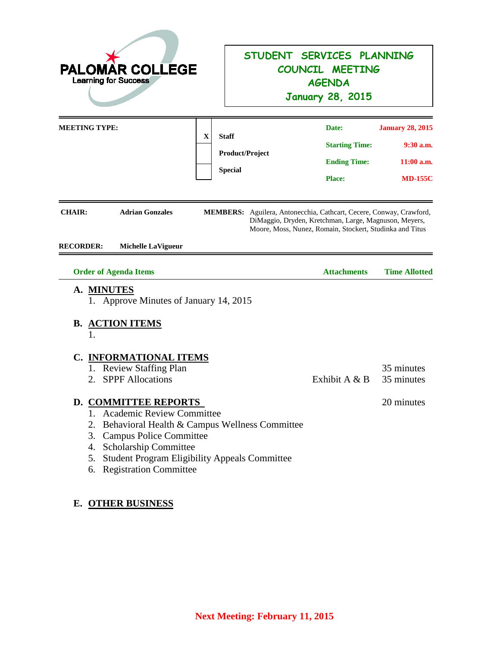| <b>PALOMAR COLLEGE</b><br><b>Learning for Success</b>                                                                                                                                                                                                                      | STUDENT SERVICES PLANNING<br>COUNCIL MEETING<br><b>AGENDA</b><br><b>January 28, 2015</b>                                                                                                 |                                                                          |  |  |  |
|----------------------------------------------------------------------------------------------------------------------------------------------------------------------------------------------------------------------------------------------------------------------------|------------------------------------------------------------------------------------------------------------------------------------------------------------------------------------------|--------------------------------------------------------------------------|--|--|--|
| <b>MEETING TYPE:</b><br>$\mathbf X$<br><b>Staff</b>                                                                                                                                                                                                                        | Date:<br><b>Starting Time:</b><br>Product/Project<br><b>Ending Time:</b><br><b>Special</b><br><b>Place:</b>                                                                              | <b>January 28, 2015</b><br>$9:30$ a.m.<br>$11:00$ a.m.<br><b>MD-155C</b> |  |  |  |
| <b>Adrian Gonzales</b><br><b>CHAIR:</b><br><b>RECORDER:</b><br><b>Michelle LaVigueur</b>                                                                                                                                                                                   | MEMBERS: Aguilera, Antonecchia, Cathcart, Cecere, Conway, Crawford,<br>DiMaggio, Dryden, Kretchman, Large, Magnuson, Meyers,<br>Moore, Moss, Nunez, Romain, Stockert, Studinka and Titus |                                                                          |  |  |  |
| <b>Order of Agenda Items</b><br>A. MINUTES<br>1. Approve Minutes of January 14, 2015                                                                                                                                                                                       | <b>Attachments</b>                                                                                                                                                                       | <b>Time Allotted</b>                                                     |  |  |  |
| <b>B. ACTION ITEMS</b><br>C. INFORMATIONAL ITEMS<br>1. Review Staffing Plan<br><b>SPPF</b> Allocations<br>2                                                                                                                                                                | Exhibit A & B                                                                                                                                                                            | 35 minutes<br>35 minutes                                                 |  |  |  |
| <b>D. COMMITTEE REPORTS</b><br>1. Academic Review Committee<br>2. Behavioral Health & Campus Wellness Committee<br><b>Campus Police Committee</b><br>3.<br>Scholarship Committee<br>4.<br>Student Program Eligibility Appeals Committee<br>5.<br>6. Registration Committee |                                                                                                                                                                                          | 20 minutes                                                               |  |  |  |

# **E. OTHER BUSINESS**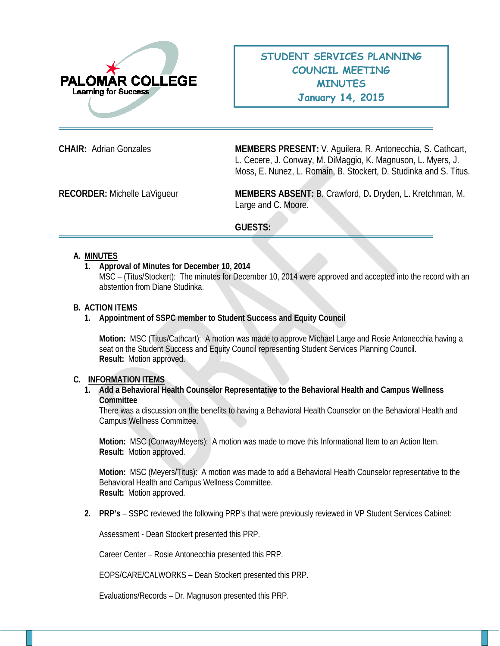

**CHAIR:** Adrian Gonzales **MEMBERS PRESENT:** V. Aguilera, R. Antonecchia, S. Cathcart, L. Cecere, J. Conway, M. DiMaggio, K. Magnuson, L. Myers, J. Moss, E. Nunez, L. Romain, B. Stockert, D. Studinka and S. Titus.

**RECORDER:** Michelle LaVigueur **MEMBERS ABSENT:** B. Crawford, D**.** Dryden, L. Kretchman, M. Large and C. Moore.

### **GUESTS:**

#### **A. MINUTES**

**1. Approval of Minutes for December 10, 2014**

MSC – (Titus/Stockert): The minutes for December 10, 2014 were approved and accepted into the record with an abstention from Diane Studinka.

#### **B. ACTION ITEMS**

#### **1. Appointment of SSPC member to Student Success and Equity Council**

**Motion:** MSC (Titus/Cathcart): A motion was made to approve Michael Large and Rosie Antonecchia having a seat on the Student Success and Equity Council representing Student Services Planning Council. **Result:** Motion approved.

#### **C. INFORMATION ITEMS**

#### **1. Add a Behavioral Health Counselor Representative to the Behavioral Health and Campus Wellness Committee**

There was a discussion on the benefits to having a Behavioral Health Counselor on the Behavioral Health and Campus Wellness Committee.

**Motion:** MSC (Conway/Meyers): A motion was made to move this Informational Item to an Action Item. **Result:** Motion approved.

**Motion:** MSC (Meyers/Titus): A motion was made to add a Behavioral Health Counselor representative to the Behavioral Health and Campus Wellness Committee. **Result:** Motion approved.

**2. PRP's** – SSPC reviewed the following PRP's that were previously reviewed in VP Student Services Cabinet:

Assessment - Dean Stockert presented this PRP.

Career Center – Rosie Antonecchia presented this PRP.

EOPS/CARE/CALWORKS – Dean Stockert presented this PRP.

Evaluations/Records – Dr. Magnuson presented this PRP.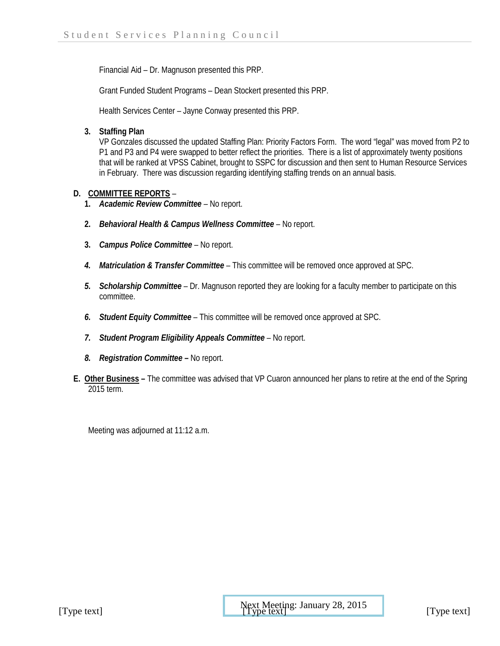Financial Aid – Dr. Magnuson presented this PRP.

Grant Funded Student Programs – Dean Stockert presented this PRP.

Health Services Center – Jayne Conway presented this PRP.

**3. Staffing Plan**

VP Gonzales discussed the updated Staffing Plan: Priority Factors Form. The word "legal" was moved from P2 to P1 and P3 and P4 were swapped to better reflect the priorities. There is a list of approximately twenty positions that will be ranked at VPSS Cabinet, brought to SSPC for discussion and then sent to Human Resource Services in February. There was discussion regarding identifying staffing trends on an annual basis.

## **D. COMMITTEE REPORTS** –

- **1.** *Academic Review Committee –* No report.
- **2.** *Behavioral Health & Campus Wellness Committee* No report.
- **3.** *Campus Police Committee –* No report.
- *4. Matriculation & Transfer Committee* This committee will be removed once approved at SPC.
- *5. Scholarship Committee –* Dr. Magnuson reported they are looking for a faculty member to participate on this committee.
- *6. Student Equity Committee* This committee will be removed once approved at SPC.
- *7. Student Program Eligibility Appeals Committee* No report.
- *8. Registration Committee –* No report.
- **E. Other Business –** The committee was advised that VP Cuaron announced her plans to retire at the end of the Spring 2015 term.

Meeting was adjourned at 11:12 a.m.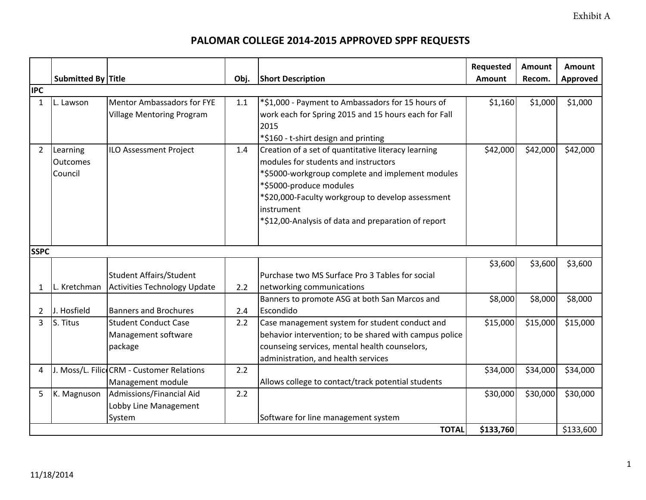Exhibit A

## **PALOMAR COLLEGE 2014‐2015 APPROVED SPPF REQUESTS**

|                |                                        |                                                                |      |                                                                                                                                                                                                                                                                                                      | Requested | Amount   | Amount          |
|----------------|----------------------------------------|----------------------------------------------------------------|------|------------------------------------------------------------------------------------------------------------------------------------------------------------------------------------------------------------------------------------------------------------------------------------------------------|-----------|----------|-----------------|
| <b>IPC</b>     | Submitted By Title                     |                                                                | Obj. | <b>Short Description</b>                                                                                                                                                                                                                                                                             | Amount    | Recom.   | <b>Approved</b> |
| $\mathbf{1}$   | L. Lawson                              | Mentor Ambassadors for FYE<br><b>Village Mentoring Program</b> | 1.1  | *\$1,000 - Payment to Ambassadors for 15 hours of<br>work each for Spring 2015 and 15 hours each for Fall<br>2015<br>*\$160 - t-shirt design and printing                                                                                                                                            | \$1,160   | \$1,000  | \$1,000         |
| $\overline{2}$ | Learning<br><b>Outcomes</b><br>Council | <b>ILO Assessment Project</b>                                  | 1.4  | Creation of a set of quantitative literacy learning<br>modules for students and instructors<br>*\$5000-workgroup complete and implement modules<br>*\$5000-produce modules<br>*\$20,000-Faculty workgroup to develop assessment<br>instrument<br>*\$12,00-Analysis of data and preparation of report | \$42,000  | \$42,000 | \$42,000        |
| <b>SSPC</b>    |                                        |                                                                |      |                                                                                                                                                                                                                                                                                                      |           |          |                 |
| 1              | L. Kretchman                           | Student Affairs/Student<br>Activities Technology Update        | 2.2  | Purchase two MS Surface Pro 3 Tables for social<br>networking communications                                                                                                                                                                                                                         | \$3,600   | \$3,600  | \$3,600         |
| 2              | J. Hosfield                            | <b>Banners and Brochures</b>                                   | 2.4  | Banners to promote ASG at both San Marcos and<br>Escondido                                                                                                                                                                                                                                           | \$8,000   | \$8,000  | \$8,000         |
| 3              | S. Titus                               | <b>Student Conduct Case</b><br>Management software<br>package  | 2.2  | Case management system for student conduct and<br>behavior intervention; to be shared with campus police<br>counseing services, mental health counselors,<br>administration, and health services                                                                                                     | \$15,000  | \$15,000 | \$15,000        |
| 4              |                                        | J. Moss/L. FilicoCRM - Customer Relations<br>Management module | 2.2  | Allows college to contact/track potential students                                                                                                                                                                                                                                                   | \$34,000  | \$34,000 | \$34,000        |
| 5              | K. Magnuson                            | Admissions/Financial Aid<br>Lobby Line Management<br>System    | 2.2  | Software for line management system                                                                                                                                                                                                                                                                  | \$30,000  | \$30,000 | \$30,000        |
|                |                                        |                                                                |      | <b>TOTAL</b>                                                                                                                                                                                                                                                                                         | \$133,760 |          | \$133,600       |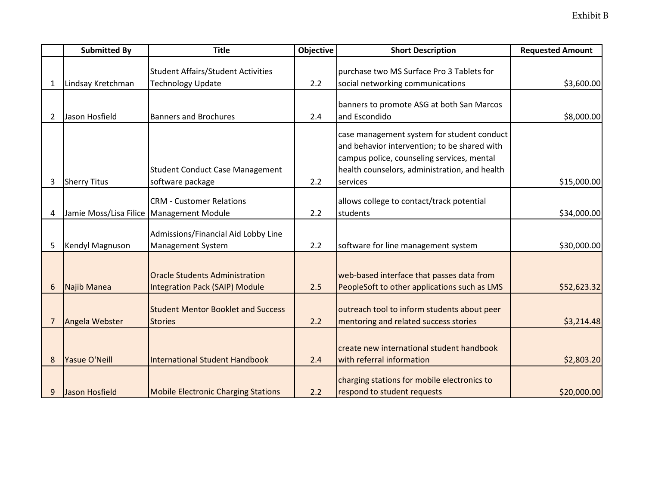|                | <b>Submitted By</b>                        | <b>Title</b>                               | <b>Objective</b> | <b>Short Description</b>                      | <b>Requested Amount</b> |
|----------------|--------------------------------------------|--------------------------------------------|------------------|-----------------------------------------------|-------------------------|
|                |                                            |                                            |                  |                                               |                         |
|                |                                            | <b>Student Affairs/Student Activities</b>  |                  | purchase two MS Surface Pro 3 Tablets for     |                         |
| 1              | Lindsay Kretchman                          | <b>Technology Update</b>                   | 2.2              | social networking communications              | \$3,600.00              |
|                |                                            |                                            |                  |                                               |                         |
|                |                                            |                                            |                  | banners to promote ASG at both San Marcos     |                         |
| $\overline{2}$ | Jason Hosfield                             | <b>Banners and Brochures</b>               | 2.4              | and Escondido                                 | \$8,000.00              |
|                |                                            |                                            |                  | case management system for student conduct    |                         |
|                |                                            |                                            |                  | and behavior intervention; to be shared with  |                         |
|                |                                            |                                            |                  | campus police, counseling services, mental    |                         |
|                |                                            |                                            |                  |                                               |                         |
|                |                                            | <b>Student Conduct Case Management</b>     |                  | health counselors, administration, and health |                         |
| 3              | <b>Sherry Titus</b>                        | software package                           | 2.2              | services                                      | \$15,000.00             |
|                |                                            | <b>CRM - Customer Relations</b>            |                  | allows college to contact/track potential     |                         |
| 4              | Jamie Moss/Lisa Filice   Management Module |                                            | 2.2              | students                                      | \$34,000.00             |
|                |                                            |                                            |                  |                                               |                         |
|                |                                            | Admissions/Financial Aid Lobby Line        |                  |                                               |                         |
| 5              | Kendyl Magnuson                            | <b>Management System</b>                   | 2.2              | software for line management system           | \$30,000.00             |
|                |                                            |                                            |                  |                                               |                         |
|                |                                            |                                            |                  |                                               |                         |
|                |                                            | <b>Oracle Students Administration</b>      |                  | web-based interface that passes data from     |                         |
| 6              | <b>Najib Manea</b>                         | <b>Integration Pack (SAIP) Module</b>      | 2.5              | PeopleSoft to other applications such as LMS  | \$52,623.32             |
|                |                                            |                                            |                  |                                               |                         |
|                |                                            | <b>Student Mentor Booklet and Success</b>  |                  | outreach tool to inform students about peer   |                         |
| 7              | Angela Webster                             | <b>Stories</b>                             | 2.2              | mentoring and related success stories         | \$3,214.48              |
|                |                                            |                                            |                  |                                               |                         |
|                |                                            |                                            |                  |                                               |                         |
|                |                                            |                                            |                  | create new international student handbook     |                         |
| 8              | <b>Yasue O'Neill</b>                       | <b>International Student Handbook</b>      | 2.4              | with referral information                     | \$2,803.20              |
|                |                                            |                                            |                  | charging stations for mobile electronics to   |                         |
|                |                                            |                                            |                  |                                               |                         |
| 9              | Jason Hosfield                             | <b>Mobile Electronic Charging Stations</b> | 2.2              | respond to student requests                   | \$20,000.00             |